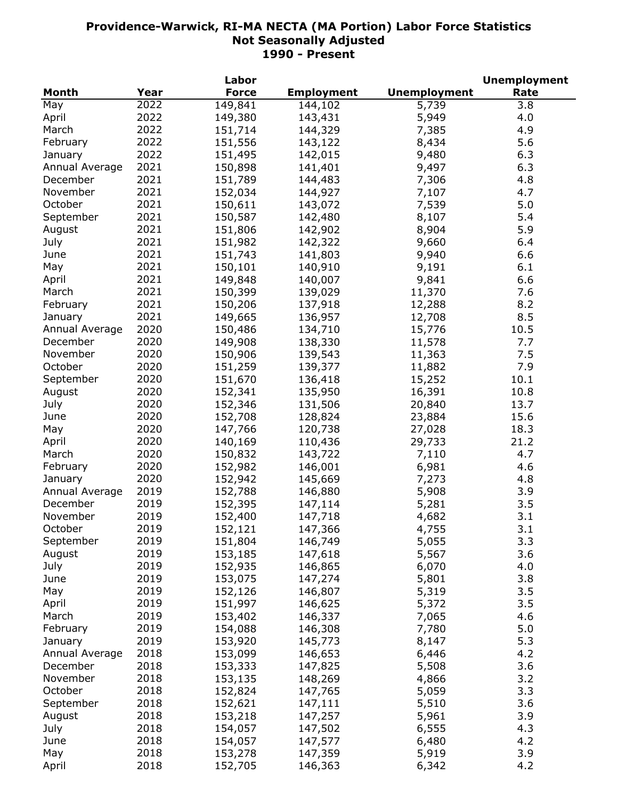|                |      | Labor        |                   |                     | <b>Unemployment</b> |
|----------------|------|--------------|-------------------|---------------------|---------------------|
| Month          | Year | <b>Force</b> | <b>Employment</b> | <b>Unemployment</b> | Rate                |
| May            | 2022 | 149,841      | 144,102           | 5,739               | 3.8                 |
| April          | 2022 | 149,380      | 143,431           | 5,949               | 4.0                 |
| March          | 2022 | 151,714      | 144,329           | 7,385               | 4.9                 |
| February       | 2022 | 151,556      | 143,122           | 8,434               | 5.6                 |
| January        | 2022 | 151,495      | 142,015           | 9,480               | 6.3                 |
| Annual Average | 2021 | 150,898      | 141,401           | 9,497               | 6.3                 |
| December       | 2021 | 151,789      | 144,483           | 7,306               | 4.8                 |
| November       | 2021 | 152,034      | 144,927           | 7,107               | 4.7                 |
| October        | 2021 | 150,611      | 143,072           | 7,539               | 5.0                 |
| September      | 2021 | 150,587      | 142,480           | 8,107               | 5.4                 |
| August         | 2021 | 151,806      | 142,902           | 8,904               | 5.9                 |
|                | 2021 |              |                   |                     |                     |
| July           |      | 151,982      | 142,322           | 9,660               | 6.4                 |
| June           | 2021 | 151,743      | 141,803           | 9,940               | 6.6                 |
| May            | 2021 | 150,101      | 140,910           | 9,191               | 6.1                 |
| April          | 2021 | 149,848      | 140,007           | 9,841               | 6.6                 |
| March          | 2021 | 150,399      | 139,029           | 11,370              | 7.6                 |
| February       | 2021 | 150,206      | 137,918           | 12,288              | 8.2                 |
| January        | 2021 | 149,665      | 136,957           | 12,708              | 8.5                 |
| Annual Average | 2020 | 150,486      | 134,710           | 15,776              | 10.5                |
| December       | 2020 | 149,908      | 138,330           | 11,578              | 7.7                 |
| November       | 2020 | 150,906      | 139,543           | 11,363              | 7.5                 |
| October        | 2020 | 151,259      | 139,377           | 11,882              | 7.9                 |
| September      | 2020 | 151,670      | 136,418           | 15,252              | 10.1                |
| August         | 2020 | 152,341      | 135,950           | 16,391              | 10.8                |
| July           | 2020 | 152,346      | 131,506           | 20,840              | 13.7                |
| June           | 2020 | 152,708      | 128,824           | 23,884              | 15.6                |
| May            | 2020 | 147,766      | 120,738           | 27,028              | 18.3                |
| April          | 2020 | 140,169      | 110,436           | 29,733              | 21.2                |
| March          | 2020 | 150,832      | 143,722           | 7,110               | 4.7                 |
| February       | 2020 | 152,982      | 146,001           | 6,981               | 4.6                 |
| January        | 2020 | 152,942      | 145,669           | 7,273               | 4.8                 |
| Annual Average | 2019 | 152,788      | 146,880           | 5,908               | 3.9                 |
| December       | 2019 | 152,395      | 147,114           | 5,281               | 3.5                 |
| November       | 2019 | 152,400      | 147,718           | 4,682               | 3.1                 |
| October        | 2019 | 152,121      | 147,366           | 4,755               | 3.1                 |
| September      | 2019 | 151,804      | 146,749           | 5,055               | 3.3                 |
| August         | 2019 | 153,185      | 147,618           | 5,567               | 3.6                 |
|                | 2019 |              |                   |                     |                     |
| July           |      | 152,935      | 146,865           | 6,070               | 4.0                 |
| June           | 2019 | 153,075      | 147,274           | 5,801               | 3.8                 |
| May            | 2019 | 152,126      | 146,807           | 5,319               | 3.5                 |
| April          | 2019 | 151,997      | 146,625           | 5,372               | 3.5                 |
| March          | 2019 | 153,402      | 146,337           | 7,065               | 4.6                 |
| February       | 2019 | 154,088      | 146,308           | 7,780               | 5.0                 |
| January        | 2019 | 153,920      | 145,773           | 8,147               | 5.3                 |
| Annual Average | 2018 | 153,099      | 146,653           | 6,446               | 4.2                 |
| December       | 2018 | 153,333      | 147,825           | 5,508               | 3.6                 |
| November       | 2018 | 153,135      | 148,269           | 4,866               | 3.2                 |
| October        | 2018 | 152,824      | 147,765           | 5,059               | 3.3                 |
| September      | 2018 | 152,621      | 147,111           | 5,510               | 3.6                 |
| August         | 2018 | 153,218      | 147,257           | 5,961               | 3.9                 |
| July           | 2018 | 154,057      | 147,502           | 6,555               | 4.3                 |
| June           | 2018 | 154,057      | 147,577           | 6,480               | 4.2                 |
| May            | 2018 | 153,278      | 147,359           | 5,919               | 3.9                 |
| April          | 2018 | 152,705      | 146,363           | 6,342               | 4.2                 |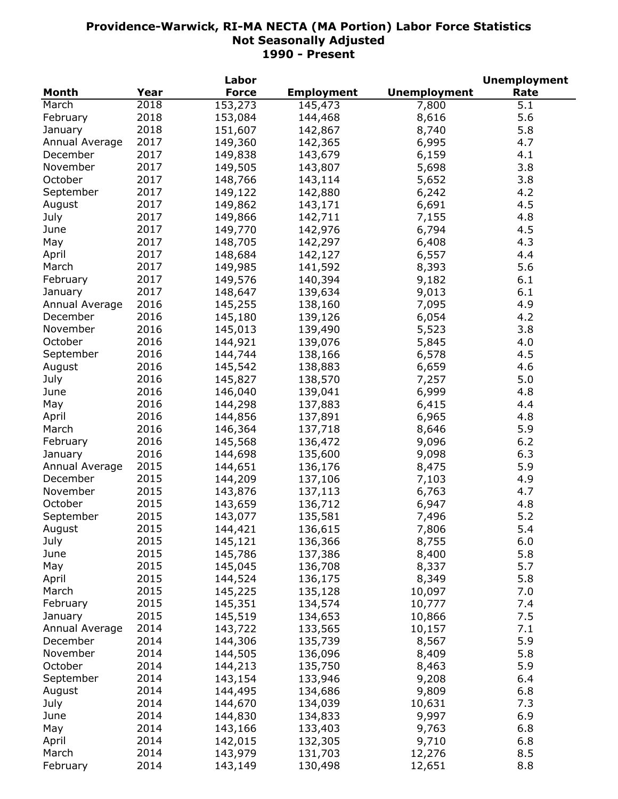|                |      | Labor        |                   |                     | <b>Unemployment</b> |
|----------------|------|--------------|-------------------|---------------------|---------------------|
| Month          | Year | <b>Force</b> | <b>Employment</b> | <b>Unemployment</b> | Rate                |
| March          | 2018 | 153,273      | 145,473           | 7,800               | 5.1                 |
| February       | 2018 | 153,084      | 144,468           | 8,616               | 5.6                 |
| January        | 2018 | 151,607      | 142,867           | 8,740               | 5.8                 |
| Annual Average | 2017 | 149,360      | 142,365           | 6,995               | 4.7                 |
| December       | 2017 | 149,838      | 143,679           | 6,159               | 4.1                 |
| November       | 2017 | 149,505      | 143,807           | 5,698               | 3.8                 |
| October        | 2017 | 148,766      | 143,114           | 5,652               | 3.8                 |
| September      | 2017 | 149,122      | 142,880           | 6,242               | 4.2                 |
| August         | 2017 | 149,862      | 143,171           | 6,691               | 4.5                 |
| July           | 2017 | 149,866      | 142,711           | 7,155               | 4.8                 |
| June           | 2017 | 149,770      | 142,976           | 6,794               | 4.5                 |
|                | 2017 |              |                   |                     | 4.3                 |
| May            |      | 148,705      | 142,297           | 6,408               |                     |
| April          | 2017 | 148,684      | 142,127           | 6,557               | 4.4                 |
| March          | 2017 | 149,985      | 141,592           | 8,393               | 5.6                 |
| February       | 2017 | 149,576      | 140,394           | 9,182               | 6.1                 |
| January        | 2017 | 148,647      | 139,634           | 9,013               | 6.1                 |
| Annual Average | 2016 | 145,255      | 138,160           | 7,095               | 4.9                 |
| December       | 2016 | 145,180      | 139,126           | 6,054               | 4.2                 |
| November       | 2016 | 145,013      | 139,490           | 5,523               | 3.8                 |
| October        | 2016 | 144,921      | 139,076           | 5,845               | 4.0                 |
| September      | 2016 | 144,744      | 138,166           | 6,578               | 4.5                 |
| August         | 2016 | 145,542      | 138,883           | 6,659               | 4.6                 |
| July           | 2016 | 145,827      | 138,570           | 7,257               | 5.0                 |
| June           | 2016 | 146,040      | 139,041           | 6,999               | 4.8                 |
| May            | 2016 | 144,298      | 137,883           | 6,415               | 4.4                 |
| April          | 2016 | 144,856      | 137,891           | 6,965               | 4.8                 |
| March          | 2016 | 146,364      | 137,718           | 8,646               | 5.9                 |
| February       | 2016 | 145,568      | 136,472           | 9,096               | 6.2                 |
| January        | 2016 | 144,698      | 135,600           | 9,098               | 6.3                 |
| Annual Average | 2015 | 144,651      | 136,176           | 8,475               | 5.9                 |
| December       | 2015 | 144,209      | 137,106           | 7,103               | 4.9                 |
| November       | 2015 | 143,876      | 137,113           | 6,763               | 4.7                 |
| October        | 2015 | 143,659      | 136,712           | 6,947               | 4.8                 |
| September      | 2015 | 143,077      | 135,581           | 7,496               | 5.2                 |
| August         | 2015 | 144,421      | 136,615           | 7,806               | 5.4                 |
| July           | 2015 | 145,121      | 136,366           | 8,755               | 6.0                 |
| June           | 2015 | 145,786      | 137,386           | 8,400               | 5.8                 |
| May            | 2015 | 145,045      | 136,708           | 8,337               | 5.7                 |
|                | 2015 |              |                   |                     | 5.8                 |
| April          |      | 144,524      | 136,175           | 8,349               |                     |
| March          | 2015 | 145,225      | 135,128           | 10,097              | 7.0                 |
| February       | 2015 | 145,351      | 134,574           | 10,777              | 7.4                 |
| January        | 2015 | 145,519      | 134,653           | 10,866              | 7.5                 |
| Annual Average | 2014 | 143,722      | 133,565           | 10,157              | 7.1                 |
| December       | 2014 | 144,306      | 135,739           | 8,567               | 5.9                 |
| November       | 2014 | 144,505      | 136,096           | 8,409               | 5.8                 |
| October        | 2014 | 144,213      | 135,750           | 8,463               | 5.9                 |
| September      | 2014 | 143,154      | 133,946           | 9,208               | 6.4                 |
| August         | 2014 | 144,495      | 134,686           | 9,809               | 6.8                 |
| July           | 2014 | 144,670      | 134,039           | 10,631              | 7.3                 |
| June           | 2014 | 144,830      | 134,833           | 9,997               | 6.9                 |
| May            | 2014 | 143,166      | 133,403           | 9,763               | 6.8                 |
| April          | 2014 | 142,015      | 132,305           | 9,710               | 6.8                 |
| March          | 2014 | 143,979      | 131,703           | 12,276              | 8.5                 |
| February       | 2014 | 143,149      | 130,498           | 12,651              | 8.8                 |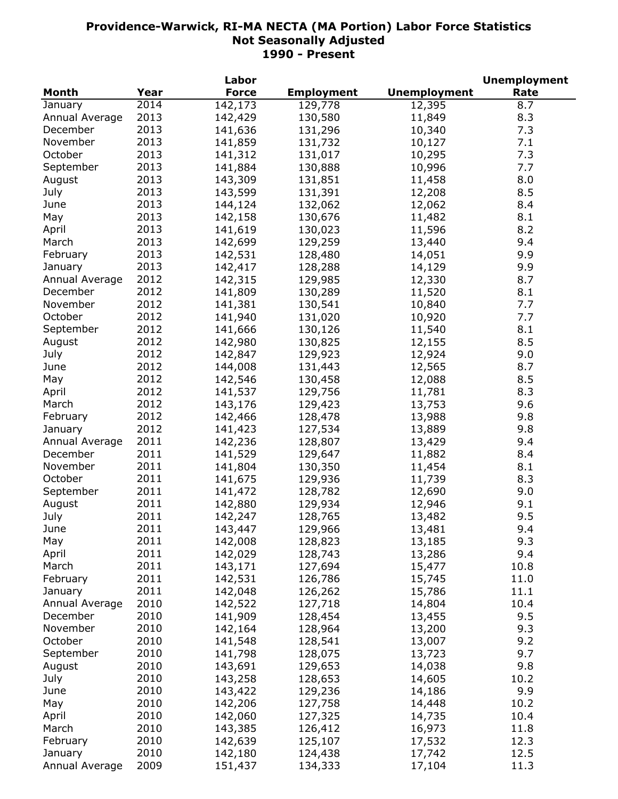|                |      | Labor        |                   |                     | <b>Unemployment</b> |
|----------------|------|--------------|-------------------|---------------------|---------------------|
| <b>Month</b>   | Year | <b>Force</b> | <b>Employment</b> | <b>Unemployment</b> | Rate                |
| January        | 2014 | 142,173      | 129,778           | 12,395              | 8.7                 |
| Annual Average | 2013 | 142,429      | 130,580           | 11,849              | 8.3                 |
| December       | 2013 | 141,636      | 131,296           | 10,340              | 7.3                 |
| November       | 2013 | 141,859      | 131,732           | 10,127              | 7.1                 |
| October        | 2013 | 141,312      | 131,017           | 10,295              | 7.3                 |
| September      | 2013 | 141,884      | 130,888           | 10,996              | 7.7                 |
| August         | 2013 | 143,309      | 131,851           | 11,458              | 8.0                 |
| July           | 2013 | 143,599      | 131,391           | 12,208              | 8.5                 |
| June           | 2013 | 144,124      | 132,062           | 12,062              | 8.4                 |
| May            | 2013 | 142,158      | 130,676           | 11,482              | 8.1                 |
| April          | 2013 | 141,619      | 130,023           | 11,596              | 8.2                 |
| March          | 2013 | 142,699      | 129,259           | 13,440              | 9.4                 |
| February       | 2013 |              | 128,480           |                     | 9.9                 |
|                | 2013 | 142,531      |                   | 14,051              | 9.9                 |
| January        |      | 142,417      | 128,288           | 14,129              |                     |
| Annual Average | 2012 | 142,315      | 129,985           | 12,330              | 8.7                 |
| December       | 2012 | 141,809      | 130,289           | 11,520              | 8.1                 |
| November       | 2012 | 141,381      | 130,541           | 10,840              | 7.7                 |
| October        | 2012 | 141,940      | 131,020           | 10,920              | 7.7                 |
| September      | 2012 | 141,666      | 130,126           | 11,540              | 8.1                 |
| August         | 2012 | 142,980      | 130,825           | 12,155              | 8.5                 |
| July           | 2012 | 142,847      | 129,923           | 12,924              | 9.0                 |
| June           | 2012 | 144,008      | 131,443           | 12,565              | 8.7                 |
| May            | 2012 | 142,546      | 130,458           | 12,088              | 8.5                 |
| April          | 2012 | 141,537      | 129,756           | 11,781              | 8.3                 |
| March          | 2012 | 143,176      | 129,423           | 13,753              | 9.6                 |
| February       | 2012 | 142,466      | 128,478           | 13,988              | 9.8                 |
| January        | 2012 | 141,423      | 127,534           | 13,889              | 9.8                 |
| Annual Average | 2011 | 142,236      | 128,807           | 13,429              | 9.4                 |
| December       | 2011 | 141,529      | 129,647           | 11,882              | 8.4                 |
| November       | 2011 | 141,804      | 130,350           | 11,454              | 8.1                 |
| October        | 2011 | 141,675      | 129,936           | 11,739              | 8.3                 |
| September      | 2011 | 141,472      | 128,782           | 12,690              | 9.0                 |
| August         | 2011 | 142,880      | 129,934           | 12,946              | 9.1                 |
| July           | 2011 | 142,247      | 128,765           | 13,482              | 9.5                 |
| June           | 2011 | 143,447      | 129,966           | 13,481              | 9.4                 |
| May            | 2011 | 142,008      | 128,823           | 13,185              | 9.3                 |
| April          | 2011 | 142,029      | 128,743           | 13,286              | 9.4                 |
| March          | 2011 | 143,171      | 127,694           | 15,477              | 10.8                |
| February       | 2011 | 142,531      | 126,786           | 15,745              | 11.0                |
| January        | 2011 | 142,048      | 126,262           | 15,786              | 11.1                |
| Annual Average | 2010 | 142,522      | 127,718           | 14,804              | 10.4                |
| December       | 2010 | 141,909      | 128,454           | 13,455              | 9.5                 |
|                |      |              |                   |                     |                     |
| November       | 2010 | 142,164      | 128,964           | 13,200              | 9.3                 |
| October        | 2010 | 141,548      | 128,541           | 13,007              | 9.2                 |
| September      | 2010 | 141,798      | 128,075           | 13,723              | 9.7                 |
| August         | 2010 | 143,691      | 129,653           | 14,038              | 9.8                 |
| July           | 2010 | 143,258      | 128,653           | 14,605              | 10.2                |
| June           | 2010 | 143,422      | 129,236           | 14,186              | 9.9                 |
| May            | 2010 | 142,206      | 127,758           | 14,448              | 10.2                |
| April          | 2010 | 142,060      | 127,325           | 14,735              | 10.4                |
| March          | 2010 | 143,385      | 126,412           | 16,973              | 11.8                |
| February       | 2010 | 142,639      | 125,107           | 17,532              | 12.3                |
| January        | 2010 | 142,180      | 124,438           | 17,742              | 12.5                |
| Annual Average | 2009 | 151,437      | 134,333           | 17,104              | 11.3                |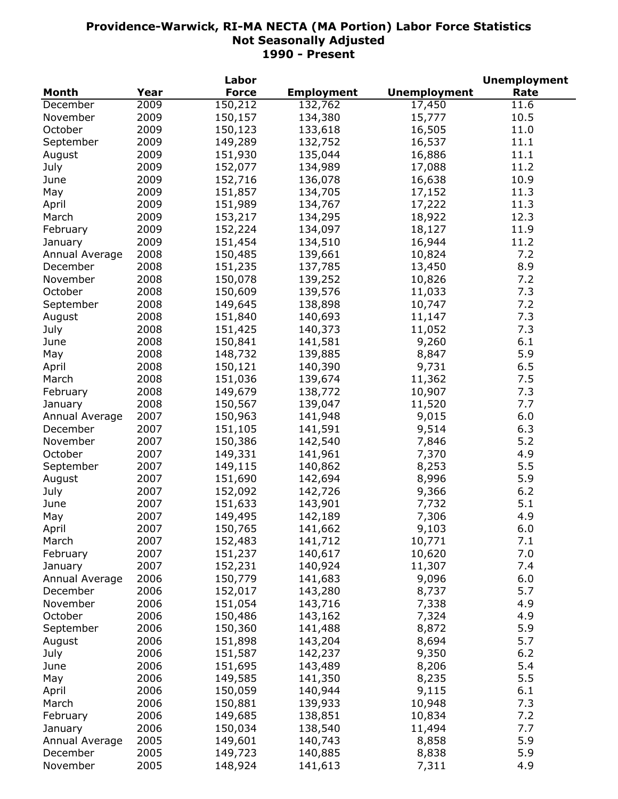| <b>Month</b><br><b>Force</b><br><b>Employment</b><br><b>Unemployment</b><br>Rate<br>Year<br>2009<br>150,212<br>132,762<br>17,450<br>11.6<br>December<br>2009<br>150,157<br>134,380<br>15,777<br>10.5<br>November<br>2009<br>October<br>150,123<br>133,618<br>16,505<br>11.0<br>2009<br>149,289<br>132,752<br>16,537<br>11.1<br>September<br>2009<br>11.1<br>151,930<br>135,044<br>16,886<br>August<br>2009<br>11.2<br>July<br>152,077<br>134,989<br>17,088<br>2009<br>152,716<br>136,078<br>10.9<br>16,638<br>June<br>2009<br>151,857<br>134,705<br>11.3<br>May<br>17,152<br>2009<br>151,989<br>17,222<br>11.3<br>134,767<br>April<br>2009<br>153,217<br>18,922<br>12.3<br>134,295<br>March<br>2009<br>152,224<br>134,097<br>18,127<br>11.9<br>February<br>151,454<br>134,510<br>16,944<br>2009<br>11.2<br>January<br>150,485<br>139,661<br>10,824<br>7.2<br>2008<br>Annual Average<br>2008<br>151,235<br>137,785<br>8.9<br>13,450<br>December<br>2008<br>150,078<br>139,252<br>7.2<br>November<br>10,826<br>2008<br>139,576<br>7.3<br>October<br>150,609<br>11,033<br>2008<br>138,898<br>10,747<br>7.2<br>September<br>149,645<br>2008<br>7.3<br>151,840<br>140,693<br>11,147<br>August<br>2008<br>7.3<br>151,425<br>140,373<br>11,052<br>July<br>2008<br>9,260<br>150,841<br>141,581<br>6.1<br>June<br>2008<br>5.9<br>148,732<br>139,885<br>8,847<br>May<br>2008<br>9,731<br>6.5<br>150,121<br>140,390<br>April<br>2008<br>11,362<br>151,036<br>139,674<br>7.5<br>March<br>2008<br>149,679<br>10,907<br>7.3<br>138,772<br>February<br>2008<br>150,567<br>139,047<br>11,520<br>7.7<br>January<br>2007<br>150,963<br>141,948<br>9,015<br>6.0<br>Annual Average<br>2007<br>151,105<br>141,591<br>9,514<br>6.3<br>December<br>150,386<br>142,540<br>7,846<br>5.2<br>November<br>2007<br>149,331<br>141,961<br>7,370<br>4.9<br>October<br>2007<br>2007<br>149,115<br>8,253<br>5.5<br>140,862<br>September<br>2007<br>151,690<br>142,694<br>5.9<br>8,996<br>August<br>2007<br>6.2<br>152,092<br>142,726<br>9,366<br>July<br>5.1<br>2007<br>151,633<br>143,901<br>7,732<br>June<br>2007<br>4.9<br>149,495<br>142,189<br>7,306<br>May<br>April<br>2007<br>150,765<br>141,662<br>9,103<br>6.0<br>2007<br>152,483<br>141,712<br>10,771<br>7.1<br>March<br>2007<br>7.0<br>151,237<br>140,617<br>10,620<br>February<br>2007<br>152,231<br>140,924<br>11,307<br>7.4<br>January<br>6.0<br>2006<br>150,779<br>9,096<br>Annual Average<br>141,683<br>5.7<br>2006<br>152,017<br>143,280<br>8,737<br>December<br>4.9<br>2006<br>151,054<br>143,716<br>7,338<br>November<br>150,486<br>4.9<br>October<br>2006<br>143,162<br>7,324<br>150,360<br>5.9<br>2006<br>141,488<br>8,872<br>September<br>151,898<br>8,694<br>5.7<br>2006<br>143,204<br>August<br>151,587<br>9,350<br>6.2<br>July<br>2006<br>142,237<br>151,695<br>8,206<br>5.4<br>2006<br>143,489<br>June<br>149,585<br>5.5<br>2006<br>141,350<br>8,235<br>May<br>6.1<br>2006<br>150,059<br>140,944<br>9,115<br>April<br>7.3<br>2006<br>150,881<br>139,933<br>10,948<br>March<br>2006<br>7.2<br>149,685<br>138,851<br>10,834<br>February<br>2006<br>7.7<br>138,540<br>11,494<br>150,034<br>January |  | Labor |  | <b>Unemployment</b> |
|------------------------------------------------------------------------------------------------------------------------------------------------------------------------------------------------------------------------------------------------------------------------------------------------------------------------------------------------------------------------------------------------------------------------------------------------------------------------------------------------------------------------------------------------------------------------------------------------------------------------------------------------------------------------------------------------------------------------------------------------------------------------------------------------------------------------------------------------------------------------------------------------------------------------------------------------------------------------------------------------------------------------------------------------------------------------------------------------------------------------------------------------------------------------------------------------------------------------------------------------------------------------------------------------------------------------------------------------------------------------------------------------------------------------------------------------------------------------------------------------------------------------------------------------------------------------------------------------------------------------------------------------------------------------------------------------------------------------------------------------------------------------------------------------------------------------------------------------------------------------------------------------------------------------------------------------------------------------------------------------------------------------------------------------------------------------------------------------------------------------------------------------------------------------------------------------------------------------------------------------------------------------------------------------------------------------------------------------------------------------------------------------------------------------------------------------------------------------------------------------------------------------------------------------------------------------------------------------------------------------------------------------------------------------------------------------------------------------------------------------------------------------------------------------------------------------------------------------------------------------------------------------------------------------------------------------------------------------------------------------------------------------------------------------------------------------------------------------------------------------------------------|--|-------|--|---------------------|
|                                                                                                                                                                                                                                                                                                                                                                                                                                                                                                                                                                                                                                                                                                                                                                                                                                                                                                                                                                                                                                                                                                                                                                                                                                                                                                                                                                                                                                                                                                                                                                                                                                                                                                                                                                                                                                                                                                                                                                                                                                                                                                                                                                                                                                                                                                                                                                                                                                                                                                                                                                                                                                                                                                                                                                                                                                                                                                                                                                                                                                                                                                                                          |  |       |  |                     |
|                                                                                                                                                                                                                                                                                                                                                                                                                                                                                                                                                                                                                                                                                                                                                                                                                                                                                                                                                                                                                                                                                                                                                                                                                                                                                                                                                                                                                                                                                                                                                                                                                                                                                                                                                                                                                                                                                                                                                                                                                                                                                                                                                                                                                                                                                                                                                                                                                                                                                                                                                                                                                                                                                                                                                                                                                                                                                                                                                                                                                                                                                                                                          |  |       |  |                     |
|                                                                                                                                                                                                                                                                                                                                                                                                                                                                                                                                                                                                                                                                                                                                                                                                                                                                                                                                                                                                                                                                                                                                                                                                                                                                                                                                                                                                                                                                                                                                                                                                                                                                                                                                                                                                                                                                                                                                                                                                                                                                                                                                                                                                                                                                                                                                                                                                                                                                                                                                                                                                                                                                                                                                                                                                                                                                                                                                                                                                                                                                                                                                          |  |       |  |                     |
|                                                                                                                                                                                                                                                                                                                                                                                                                                                                                                                                                                                                                                                                                                                                                                                                                                                                                                                                                                                                                                                                                                                                                                                                                                                                                                                                                                                                                                                                                                                                                                                                                                                                                                                                                                                                                                                                                                                                                                                                                                                                                                                                                                                                                                                                                                                                                                                                                                                                                                                                                                                                                                                                                                                                                                                                                                                                                                                                                                                                                                                                                                                                          |  |       |  |                     |
|                                                                                                                                                                                                                                                                                                                                                                                                                                                                                                                                                                                                                                                                                                                                                                                                                                                                                                                                                                                                                                                                                                                                                                                                                                                                                                                                                                                                                                                                                                                                                                                                                                                                                                                                                                                                                                                                                                                                                                                                                                                                                                                                                                                                                                                                                                                                                                                                                                                                                                                                                                                                                                                                                                                                                                                                                                                                                                                                                                                                                                                                                                                                          |  |       |  |                     |
|                                                                                                                                                                                                                                                                                                                                                                                                                                                                                                                                                                                                                                                                                                                                                                                                                                                                                                                                                                                                                                                                                                                                                                                                                                                                                                                                                                                                                                                                                                                                                                                                                                                                                                                                                                                                                                                                                                                                                                                                                                                                                                                                                                                                                                                                                                                                                                                                                                                                                                                                                                                                                                                                                                                                                                                                                                                                                                                                                                                                                                                                                                                                          |  |       |  |                     |
|                                                                                                                                                                                                                                                                                                                                                                                                                                                                                                                                                                                                                                                                                                                                                                                                                                                                                                                                                                                                                                                                                                                                                                                                                                                                                                                                                                                                                                                                                                                                                                                                                                                                                                                                                                                                                                                                                                                                                                                                                                                                                                                                                                                                                                                                                                                                                                                                                                                                                                                                                                                                                                                                                                                                                                                                                                                                                                                                                                                                                                                                                                                                          |  |       |  |                     |
|                                                                                                                                                                                                                                                                                                                                                                                                                                                                                                                                                                                                                                                                                                                                                                                                                                                                                                                                                                                                                                                                                                                                                                                                                                                                                                                                                                                                                                                                                                                                                                                                                                                                                                                                                                                                                                                                                                                                                                                                                                                                                                                                                                                                                                                                                                                                                                                                                                                                                                                                                                                                                                                                                                                                                                                                                                                                                                                                                                                                                                                                                                                                          |  |       |  |                     |
|                                                                                                                                                                                                                                                                                                                                                                                                                                                                                                                                                                                                                                                                                                                                                                                                                                                                                                                                                                                                                                                                                                                                                                                                                                                                                                                                                                                                                                                                                                                                                                                                                                                                                                                                                                                                                                                                                                                                                                                                                                                                                                                                                                                                                                                                                                                                                                                                                                                                                                                                                                                                                                                                                                                                                                                                                                                                                                                                                                                                                                                                                                                                          |  |       |  |                     |
|                                                                                                                                                                                                                                                                                                                                                                                                                                                                                                                                                                                                                                                                                                                                                                                                                                                                                                                                                                                                                                                                                                                                                                                                                                                                                                                                                                                                                                                                                                                                                                                                                                                                                                                                                                                                                                                                                                                                                                                                                                                                                                                                                                                                                                                                                                                                                                                                                                                                                                                                                                                                                                                                                                                                                                                                                                                                                                                                                                                                                                                                                                                                          |  |       |  |                     |
|                                                                                                                                                                                                                                                                                                                                                                                                                                                                                                                                                                                                                                                                                                                                                                                                                                                                                                                                                                                                                                                                                                                                                                                                                                                                                                                                                                                                                                                                                                                                                                                                                                                                                                                                                                                                                                                                                                                                                                                                                                                                                                                                                                                                                                                                                                                                                                                                                                                                                                                                                                                                                                                                                                                                                                                                                                                                                                                                                                                                                                                                                                                                          |  |       |  |                     |
|                                                                                                                                                                                                                                                                                                                                                                                                                                                                                                                                                                                                                                                                                                                                                                                                                                                                                                                                                                                                                                                                                                                                                                                                                                                                                                                                                                                                                                                                                                                                                                                                                                                                                                                                                                                                                                                                                                                                                                                                                                                                                                                                                                                                                                                                                                                                                                                                                                                                                                                                                                                                                                                                                                                                                                                                                                                                                                                                                                                                                                                                                                                                          |  |       |  |                     |
|                                                                                                                                                                                                                                                                                                                                                                                                                                                                                                                                                                                                                                                                                                                                                                                                                                                                                                                                                                                                                                                                                                                                                                                                                                                                                                                                                                                                                                                                                                                                                                                                                                                                                                                                                                                                                                                                                                                                                                                                                                                                                                                                                                                                                                                                                                                                                                                                                                                                                                                                                                                                                                                                                                                                                                                                                                                                                                                                                                                                                                                                                                                                          |  |       |  |                     |
|                                                                                                                                                                                                                                                                                                                                                                                                                                                                                                                                                                                                                                                                                                                                                                                                                                                                                                                                                                                                                                                                                                                                                                                                                                                                                                                                                                                                                                                                                                                                                                                                                                                                                                                                                                                                                                                                                                                                                                                                                                                                                                                                                                                                                                                                                                                                                                                                                                                                                                                                                                                                                                                                                                                                                                                                                                                                                                                                                                                                                                                                                                                                          |  |       |  |                     |
|                                                                                                                                                                                                                                                                                                                                                                                                                                                                                                                                                                                                                                                                                                                                                                                                                                                                                                                                                                                                                                                                                                                                                                                                                                                                                                                                                                                                                                                                                                                                                                                                                                                                                                                                                                                                                                                                                                                                                                                                                                                                                                                                                                                                                                                                                                                                                                                                                                                                                                                                                                                                                                                                                                                                                                                                                                                                                                                                                                                                                                                                                                                                          |  |       |  |                     |
|                                                                                                                                                                                                                                                                                                                                                                                                                                                                                                                                                                                                                                                                                                                                                                                                                                                                                                                                                                                                                                                                                                                                                                                                                                                                                                                                                                                                                                                                                                                                                                                                                                                                                                                                                                                                                                                                                                                                                                                                                                                                                                                                                                                                                                                                                                                                                                                                                                                                                                                                                                                                                                                                                                                                                                                                                                                                                                                                                                                                                                                                                                                                          |  |       |  |                     |
|                                                                                                                                                                                                                                                                                                                                                                                                                                                                                                                                                                                                                                                                                                                                                                                                                                                                                                                                                                                                                                                                                                                                                                                                                                                                                                                                                                                                                                                                                                                                                                                                                                                                                                                                                                                                                                                                                                                                                                                                                                                                                                                                                                                                                                                                                                                                                                                                                                                                                                                                                                                                                                                                                                                                                                                                                                                                                                                                                                                                                                                                                                                                          |  |       |  |                     |
|                                                                                                                                                                                                                                                                                                                                                                                                                                                                                                                                                                                                                                                                                                                                                                                                                                                                                                                                                                                                                                                                                                                                                                                                                                                                                                                                                                                                                                                                                                                                                                                                                                                                                                                                                                                                                                                                                                                                                                                                                                                                                                                                                                                                                                                                                                                                                                                                                                                                                                                                                                                                                                                                                                                                                                                                                                                                                                                                                                                                                                                                                                                                          |  |       |  |                     |
|                                                                                                                                                                                                                                                                                                                                                                                                                                                                                                                                                                                                                                                                                                                                                                                                                                                                                                                                                                                                                                                                                                                                                                                                                                                                                                                                                                                                                                                                                                                                                                                                                                                                                                                                                                                                                                                                                                                                                                                                                                                                                                                                                                                                                                                                                                                                                                                                                                                                                                                                                                                                                                                                                                                                                                                                                                                                                                                                                                                                                                                                                                                                          |  |       |  |                     |
|                                                                                                                                                                                                                                                                                                                                                                                                                                                                                                                                                                                                                                                                                                                                                                                                                                                                                                                                                                                                                                                                                                                                                                                                                                                                                                                                                                                                                                                                                                                                                                                                                                                                                                                                                                                                                                                                                                                                                                                                                                                                                                                                                                                                                                                                                                                                                                                                                                                                                                                                                                                                                                                                                                                                                                                                                                                                                                                                                                                                                                                                                                                                          |  |       |  |                     |
|                                                                                                                                                                                                                                                                                                                                                                                                                                                                                                                                                                                                                                                                                                                                                                                                                                                                                                                                                                                                                                                                                                                                                                                                                                                                                                                                                                                                                                                                                                                                                                                                                                                                                                                                                                                                                                                                                                                                                                                                                                                                                                                                                                                                                                                                                                                                                                                                                                                                                                                                                                                                                                                                                                                                                                                                                                                                                                                                                                                                                                                                                                                                          |  |       |  |                     |
|                                                                                                                                                                                                                                                                                                                                                                                                                                                                                                                                                                                                                                                                                                                                                                                                                                                                                                                                                                                                                                                                                                                                                                                                                                                                                                                                                                                                                                                                                                                                                                                                                                                                                                                                                                                                                                                                                                                                                                                                                                                                                                                                                                                                                                                                                                                                                                                                                                                                                                                                                                                                                                                                                                                                                                                                                                                                                                                                                                                                                                                                                                                                          |  |       |  |                     |
|                                                                                                                                                                                                                                                                                                                                                                                                                                                                                                                                                                                                                                                                                                                                                                                                                                                                                                                                                                                                                                                                                                                                                                                                                                                                                                                                                                                                                                                                                                                                                                                                                                                                                                                                                                                                                                                                                                                                                                                                                                                                                                                                                                                                                                                                                                                                                                                                                                                                                                                                                                                                                                                                                                                                                                                                                                                                                                                                                                                                                                                                                                                                          |  |       |  |                     |
|                                                                                                                                                                                                                                                                                                                                                                                                                                                                                                                                                                                                                                                                                                                                                                                                                                                                                                                                                                                                                                                                                                                                                                                                                                                                                                                                                                                                                                                                                                                                                                                                                                                                                                                                                                                                                                                                                                                                                                                                                                                                                                                                                                                                                                                                                                                                                                                                                                                                                                                                                                                                                                                                                                                                                                                                                                                                                                                                                                                                                                                                                                                                          |  |       |  |                     |
|                                                                                                                                                                                                                                                                                                                                                                                                                                                                                                                                                                                                                                                                                                                                                                                                                                                                                                                                                                                                                                                                                                                                                                                                                                                                                                                                                                                                                                                                                                                                                                                                                                                                                                                                                                                                                                                                                                                                                                                                                                                                                                                                                                                                                                                                                                                                                                                                                                                                                                                                                                                                                                                                                                                                                                                                                                                                                                                                                                                                                                                                                                                                          |  |       |  |                     |
|                                                                                                                                                                                                                                                                                                                                                                                                                                                                                                                                                                                                                                                                                                                                                                                                                                                                                                                                                                                                                                                                                                                                                                                                                                                                                                                                                                                                                                                                                                                                                                                                                                                                                                                                                                                                                                                                                                                                                                                                                                                                                                                                                                                                                                                                                                                                                                                                                                                                                                                                                                                                                                                                                                                                                                                                                                                                                                                                                                                                                                                                                                                                          |  |       |  |                     |
|                                                                                                                                                                                                                                                                                                                                                                                                                                                                                                                                                                                                                                                                                                                                                                                                                                                                                                                                                                                                                                                                                                                                                                                                                                                                                                                                                                                                                                                                                                                                                                                                                                                                                                                                                                                                                                                                                                                                                                                                                                                                                                                                                                                                                                                                                                                                                                                                                                                                                                                                                                                                                                                                                                                                                                                                                                                                                                                                                                                                                                                                                                                                          |  |       |  |                     |
|                                                                                                                                                                                                                                                                                                                                                                                                                                                                                                                                                                                                                                                                                                                                                                                                                                                                                                                                                                                                                                                                                                                                                                                                                                                                                                                                                                                                                                                                                                                                                                                                                                                                                                                                                                                                                                                                                                                                                                                                                                                                                                                                                                                                                                                                                                                                                                                                                                                                                                                                                                                                                                                                                                                                                                                                                                                                                                                                                                                                                                                                                                                                          |  |       |  |                     |
|                                                                                                                                                                                                                                                                                                                                                                                                                                                                                                                                                                                                                                                                                                                                                                                                                                                                                                                                                                                                                                                                                                                                                                                                                                                                                                                                                                                                                                                                                                                                                                                                                                                                                                                                                                                                                                                                                                                                                                                                                                                                                                                                                                                                                                                                                                                                                                                                                                                                                                                                                                                                                                                                                                                                                                                                                                                                                                                                                                                                                                                                                                                                          |  |       |  |                     |
|                                                                                                                                                                                                                                                                                                                                                                                                                                                                                                                                                                                                                                                                                                                                                                                                                                                                                                                                                                                                                                                                                                                                                                                                                                                                                                                                                                                                                                                                                                                                                                                                                                                                                                                                                                                                                                                                                                                                                                                                                                                                                                                                                                                                                                                                                                                                                                                                                                                                                                                                                                                                                                                                                                                                                                                                                                                                                                                                                                                                                                                                                                                                          |  |       |  |                     |
|                                                                                                                                                                                                                                                                                                                                                                                                                                                                                                                                                                                                                                                                                                                                                                                                                                                                                                                                                                                                                                                                                                                                                                                                                                                                                                                                                                                                                                                                                                                                                                                                                                                                                                                                                                                                                                                                                                                                                                                                                                                                                                                                                                                                                                                                                                                                                                                                                                                                                                                                                                                                                                                                                                                                                                                                                                                                                                                                                                                                                                                                                                                                          |  |       |  |                     |
|                                                                                                                                                                                                                                                                                                                                                                                                                                                                                                                                                                                                                                                                                                                                                                                                                                                                                                                                                                                                                                                                                                                                                                                                                                                                                                                                                                                                                                                                                                                                                                                                                                                                                                                                                                                                                                                                                                                                                                                                                                                                                                                                                                                                                                                                                                                                                                                                                                                                                                                                                                                                                                                                                                                                                                                                                                                                                                                                                                                                                                                                                                                                          |  |       |  |                     |
|                                                                                                                                                                                                                                                                                                                                                                                                                                                                                                                                                                                                                                                                                                                                                                                                                                                                                                                                                                                                                                                                                                                                                                                                                                                                                                                                                                                                                                                                                                                                                                                                                                                                                                                                                                                                                                                                                                                                                                                                                                                                                                                                                                                                                                                                                                                                                                                                                                                                                                                                                                                                                                                                                                                                                                                                                                                                                                                                                                                                                                                                                                                                          |  |       |  |                     |
|                                                                                                                                                                                                                                                                                                                                                                                                                                                                                                                                                                                                                                                                                                                                                                                                                                                                                                                                                                                                                                                                                                                                                                                                                                                                                                                                                                                                                                                                                                                                                                                                                                                                                                                                                                                                                                                                                                                                                                                                                                                                                                                                                                                                                                                                                                                                                                                                                                                                                                                                                                                                                                                                                                                                                                                                                                                                                                                                                                                                                                                                                                                                          |  |       |  |                     |
|                                                                                                                                                                                                                                                                                                                                                                                                                                                                                                                                                                                                                                                                                                                                                                                                                                                                                                                                                                                                                                                                                                                                                                                                                                                                                                                                                                                                                                                                                                                                                                                                                                                                                                                                                                                                                                                                                                                                                                                                                                                                                                                                                                                                                                                                                                                                                                                                                                                                                                                                                                                                                                                                                                                                                                                                                                                                                                                                                                                                                                                                                                                                          |  |       |  |                     |
|                                                                                                                                                                                                                                                                                                                                                                                                                                                                                                                                                                                                                                                                                                                                                                                                                                                                                                                                                                                                                                                                                                                                                                                                                                                                                                                                                                                                                                                                                                                                                                                                                                                                                                                                                                                                                                                                                                                                                                                                                                                                                                                                                                                                                                                                                                                                                                                                                                                                                                                                                                                                                                                                                                                                                                                                                                                                                                                                                                                                                                                                                                                                          |  |       |  |                     |
|                                                                                                                                                                                                                                                                                                                                                                                                                                                                                                                                                                                                                                                                                                                                                                                                                                                                                                                                                                                                                                                                                                                                                                                                                                                                                                                                                                                                                                                                                                                                                                                                                                                                                                                                                                                                                                                                                                                                                                                                                                                                                                                                                                                                                                                                                                                                                                                                                                                                                                                                                                                                                                                                                                                                                                                                                                                                                                                                                                                                                                                                                                                                          |  |       |  |                     |
|                                                                                                                                                                                                                                                                                                                                                                                                                                                                                                                                                                                                                                                                                                                                                                                                                                                                                                                                                                                                                                                                                                                                                                                                                                                                                                                                                                                                                                                                                                                                                                                                                                                                                                                                                                                                                                                                                                                                                                                                                                                                                                                                                                                                                                                                                                                                                                                                                                                                                                                                                                                                                                                                                                                                                                                                                                                                                                                                                                                                                                                                                                                                          |  |       |  |                     |
|                                                                                                                                                                                                                                                                                                                                                                                                                                                                                                                                                                                                                                                                                                                                                                                                                                                                                                                                                                                                                                                                                                                                                                                                                                                                                                                                                                                                                                                                                                                                                                                                                                                                                                                                                                                                                                                                                                                                                                                                                                                                                                                                                                                                                                                                                                                                                                                                                                                                                                                                                                                                                                                                                                                                                                                                                                                                                                                                                                                                                                                                                                                                          |  |       |  |                     |
|                                                                                                                                                                                                                                                                                                                                                                                                                                                                                                                                                                                                                                                                                                                                                                                                                                                                                                                                                                                                                                                                                                                                                                                                                                                                                                                                                                                                                                                                                                                                                                                                                                                                                                                                                                                                                                                                                                                                                                                                                                                                                                                                                                                                                                                                                                                                                                                                                                                                                                                                                                                                                                                                                                                                                                                                                                                                                                                                                                                                                                                                                                                                          |  |       |  |                     |
|                                                                                                                                                                                                                                                                                                                                                                                                                                                                                                                                                                                                                                                                                                                                                                                                                                                                                                                                                                                                                                                                                                                                                                                                                                                                                                                                                                                                                                                                                                                                                                                                                                                                                                                                                                                                                                                                                                                                                                                                                                                                                                                                                                                                                                                                                                                                                                                                                                                                                                                                                                                                                                                                                                                                                                                                                                                                                                                                                                                                                                                                                                                                          |  |       |  |                     |
|                                                                                                                                                                                                                                                                                                                                                                                                                                                                                                                                                                                                                                                                                                                                                                                                                                                                                                                                                                                                                                                                                                                                                                                                                                                                                                                                                                                                                                                                                                                                                                                                                                                                                                                                                                                                                                                                                                                                                                                                                                                                                                                                                                                                                                                                                                                                                                                                                                                                                                                                                                                                                                                                                                                                                                                                                                                                                                                                                                                                                                                                                                                                          |  |       |  |                     |
|                                                                                                                                                                                                                                                                                                                                                                                                                                                                                                                                                                                                                                                                                                                                                                                                                                                                                                                                                                                                                                                                                                                                                                                                                                                                                                                                                                                                                                                                                                                                                                                                                                                                                                                                                                                                                                                                                                                                                                                                                                                                                                                                                                                                                                                                                                                                                                                                                                                                                                                                                                                                                                                                                                                                                                                                                                                                                                                                                                                                                                                                                                                                          |  |       |  |                     |
|                                                                                                                                                                                                                                                                                                                                                                                                                                                                                                                                                                                                                                                                                                                                                                                                                                                                                                                                                                                                                                                                                                                                                                                                                                                                                                                                                                                                                                                                                                                                                                                                                                                                                                                                                                                                                                                                                                                                                                                                                                                                                                                                                                                                                                                                                                                                                                                                                                                                                                                                                                                                                                                                                                                                                                                                                                                                                                                                                                                                                                                                                                                                          |  |       |  |                     |
|                                                                                                                                                                                                                                                                                                                                                                                                                                                                                                                                                                                                                                                                                                                                                                                                                                                                                                                                                                                                                                                                                                                                                                                                                                                                                                                                                                                                                                                                                                                                                                                                                                                                                                                                                                                                                                                                                                                                                                                                                                                                                                                                                                                                                                                                                                                                                                                                                                                                                                                                                                                                                                                                                                                                                                                                                                                                                                                                                                                                                                                                                                                                          |  |       |  |                     |
|                                                                                                                                                                                                                                                                                                                                                                                                                                                                                                                                                                                                                                                                                                                                                                                                                                                                                                                                                                                                                                                                                                                                                                                                                                                                                                                                                                                                                                                                                                                                                                                                                                                                                                                                                                                                                                                                                                                                                                                                                                                                                                                                                                                                                                                                                                                                                                                                                                                                                                                                                                                                                                                                                                                                                                                                                                                                                                                                                                                                                                                                                                                                          |  |       |  |                     |
|                                                                                                                                                                                                                                                                                                                                                                                                                                                                                                                                                                                                                                                                                                                                                                                                                                                                                                                                                                                                                                                                                                                                                                                                                                                                                                                                                                                                                                                                                                                                                                                                                                                                                                                                                                                                                                                                                                                                                                                                                                                                                                                                                                                                                                                                                                                                                                                                                                                                                                                                                                                                                                                                                                                                                                                                                                                                                                                                                                                                                                                                                                                                          |  |       |  |                     |
|                                                                                                                                                                                                                                                                                                                                                                                                                                                                                                                                                                                                                                                                                                                                                                                                                                                                                                                                                                                                                                                                                                                                                                                                                                                                                                                                                                                                                                                                                                                                                                                                                                                                                                                                                                                                                                                                                                                                                                                                                                                                                                                                                                                                                                                                                                                                                                                                                                                                                                                                                                                                                                                                                                                                                                                                                                                                                                                                                                                                                                                                                                                                          |  |       |  |                     |
|                                                                                                                                                                                                                                                                                                                                                                                                                                                                                                                                                                                                                                                                                                                                                                                                                                                                                                                                                                                                                                                                                                                                                                                                                                                                                                                                                                                                                                                                                                                                                                                                                                                                                                                                                                                                                                                                                                                                                                                                                                                                                                                                                                                                                                                                                                                                                                                                                                                                                                                                                                                                                                                                                                                                                                                                                                                                                                                                                                                                                                                                                                                                          |  |       |  |                     |
|                                                                                                                                                                                                                                                                                                                                                                                                                                                                                                                                                                                                                                                                                                                                                                                                                                                                                                                                                                                                                                                                                                                                                                                                                                                                                                                                                                                                                                                                                                                                                                                                                                                                                                                                                                                                                                                                                                                                                                                                                                                                                                                                                                                                                                                                                                                                                                                                                                                                                                                                                                                                                                                                                                                                                                                                                                                                                                                                                                                                                                                                                                                                          |  |       |  |                     |
|                                                                                                                                                                                                                                                                                                                                                                                                                                                                                                                                                                                                                                                                                                                                                                                                                                                                                                                                                                                                                                                                                                                                                                                                                                                                                                                                                                                                                                                                                                                                                                                                                                                                                                                                                                                                                                                                                                                                                                                                                                                                                                                                                                                                                                                                                                                                                                                                                                                                                                                                                                                                                                                                                                                                                                                                                                                                                                                                                                                                                                                                                                                                          |  |       |  |                     |
|                                                                                                                                                                                                                                                                                                                                                                                                                                                                                                                                                                                                                                                                                                                                                                                                                                                                                                                                                                                                                                                                                                                                                                                                                                                                                                                                                                                                                                                                                                                                                                                                                                                                                                                                                                                                                                                                                                                                                                                                                                                                                                                                                                                                                                                                                                                                                                                                                                                                                                                                                                                                                                                                                                                                                                                                                                                                                                                                                                                                                                                                                                                                          |  |       |  |                     |
|                                                                                                                                                                                                                                                                                                                                                                                                                                                                                                                                                                                                                                                                                                                                                                                                                                                                                                                                                                                                                                                                                                                                                                                                                                                                                                                                                                                                                                                                                                                                                                                                                                                                                                                                                                                                                                                                                                                                                                                                                                                                                                                                                                                                                                                                                                                                                                                                                                                                                                                                                                                                                                                                                                                                                                                                                                                                                                                                                                                                                                                                                                                                          |  |       |  |                     |
| 5.9<br>2005<br>149,601<br>8,858<br>Annual Average<br>140,743                                                                                                                                                                                                                                                                                                                                                                                                                                                                                                                                                                                                                                                                                                                                                                                                                                                                                                                                                                                                                                                                                                                                                                                                                                                                                                                                                                                                                                                                                                                                                                                                                                                                                                                                                                                                                                                                                                                                                                                                                                                                                                                                                                                                                                                                                                                                                                                                                                                                                                                                                                                                                                                                                                                                                                                                                                                                                                                                                                                                                                                                             |  |       |  |                     |
| 5.9<br>2005<br>149,723<br>8,838<br>December<br>140,885                                                                                                                                                                                                                                                                                                                                                                                                                                                                                                                                                                                                                                                                                                                                                                                                                                                                                                                                                                                                                                                                                                                                                                                                                                                                                                                                                                                                                                                                                                                                                                                                                                                                                                                                                                                                                                                                                                                                                                                                                                                                                                                                                                                                                                                                                                                                                                                                                                                                                                                                                                                                                                                                                                                                                                                                                                                                                                                                                                                                                                                                                   |  |       |  |                     |
| 2005<br>148,924<br>141,613<br>7,311<br>4.9<br>November                                                                                                                                                                                                                                                                                                                                                                                                                                                                                                                                                                                                                                                                                                                                                                                                                                                                                                                                                                                                                                                                                                                                                                                                                                                                                                                                                                                                                                                                                                                                                                                                                                                                                                                                                                                                                                                                                                                                                                                                                                                                                                                                                                                                                                                                                                                                                                                                                                                                                                                                                                                                                                                                                                                                                                                                                                                                                                                                                                                                                                                                                   |  |       |  |                     |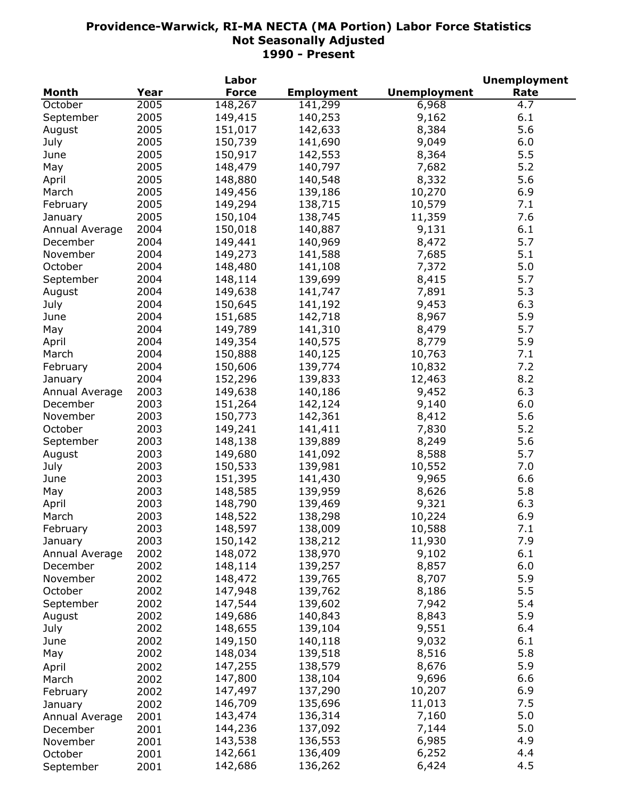|                |      | Labor        |                   |                     | <b>Unemployment</b> |
|----------------|------|--------------|-------------------|---------------------|---------------------|
| <b>Month</b>   | Year | <b>Force</b> | <b>Employment</b> | <b>Unemployment</b> | Rate                |
| October        | 2005 | 148,267      | 141,299           | 6,968               | 4.7                 |
| September      | 2005 | 149,415      | 140,253           | 9,162               | 6.1                 |
| August         | 2005 | 151,017      | 142,633           | 8,384               | 5.6                 |
| July           | 2005 | 150,739      | 141,690           | 9,049               | 6.0                 |
| June           | 2005 | 150,917      | 142,553           | 8,364               | 5.5                 |
| May            | 2005 | 148,479      | 140,797           | 7,682               | 5.2                 |
| April          | 2005 | 148,880      | 140,548           | 8,332               | 5.6                 |
| March          | 2005 | 149,456      | 139,186           | 10,270              | 6.9                 |
| February       | 2005 | 149,294      | 138,715           | 10,579              | 7.1                 |
| January        | 2005 | 150,104      | 138,745           | 11,359              | 7.6                 |
| Annual Average | 2004 | 150,018      | 140,887           | 9,131               | 6.1                 |
| December       | 2004 | 149,441      | 140,969           | 8,472               | 5.7                 |
| November       | 2004 | 149,273      | 141,588           | 7,685               | 5.1                 |
| October        | 2004 | 148,480      | 141,108           | 7,372               | 5.0                 |
| September      | 2004 | 148,114      | 139,699           | 8,415               | 5.7                 |
| August         | 2004 | 149,638      | 141,747           | 7,891               | 5.3                 |
| July           | 2004 | 150,645      | 141,192           | 9,453               | 6.3                 |
|                | 2004 | 151,685      | 142,718           | 8,967               | 5.9                 |
| June           | 2004 |              |                   |                     | 5.7                 |
| May            |      | 149,789      | 141,310           | 8,479               |                     |
| April          | 2004 | 149,354      | 140,575           | 8,779               | 5.9                 |
| March          | 2004 | 150,888      | 140,125           | 10,763              | 7.1                 |
| February       | 2004 | 150,606      | 139,774           | 10,832              | 7.2                 |
| January        | 2004 | 152,296      | 139,833           | 12,463              | 8.2                 |
| Annual Average | 2003 | 149,638      | 140,186           | 9,452               | 6.3                 |
| December       | 2003 | 151,264      | 142,124           | 9,140               | 6.0                 |
| November       | 2003 | 150,773      | 142,361           | 8,412               | 5.6                 |
| October        | 2003 | 149,241      | 141,411           | 7,830               | 5.2                 |
| September      | 2003 | 148,138      | 139,889           | 8,249               | 5.6                 |
| August         | 2003 | 149,680      | 141,092           | 8,588               | 5.7                 |
| July           | 2003 | 150,533      | 139,981           | 10,552              | 7.0                 |
| June           | 2003 | 151,395      | 141,430           | 9,965               | 6.6                 |
| May            | 2003 | 148,585      | 139,959           | 8,626               | 5.8                 |
| April          | 2003 | 148,790      | 139,469           | 9,321               | 6.3                 |
| March          | 2003 | 148,522      | 138,298           | 10,224              | 6.9                 |
| February       | 2003 | 148,597      | 138,009           | 10,588              | 7.1                 |
| January        | 2003 | 150,142      | 138,212           | 11,930              | 7.9                 |
| Annual Average | 2002 | 148,072      | 138,970           | 9,102               | 6.1                 |
| December       | 2002 | 148,114      | 139,257           | 8,857               | 6.0                 |
| November       | 2002 | 148,472      | 139,765           | 8,707               | 5.9                 |
| October        | 2002 | 147,948      | 139,762           | 8,186               | 5.5                 |
| September      | 2002 | 147,544      | 139,602           | 7,942               | 5.4                 |
| August         | 2002 | 149,686      | 140,843           | 8,843               | 5.9                 |
| July           | 2002 | 148,655      | 139,104           | 9,551               | 6.4                 |
| June           | 2002 | 149,150      | 140,118           | 9,032               | 6.1                 |
| May            | 2002 | 148,034      | 139,518           | 8,516               | 5.8                 |
| April          | 2002 | 147,255      | 138,579           | 8,676               | 5.9                 |
| March          | 2002 | 147,800      | 138,104           | 9,696               | 6.6                 |
| February       | 2002 | 147,497      | 137,290           | 10,207              | 6.9                 |
| January        | 2002 | 146,709      | 135,696           | 11,013              | 7.5                 |
| Annual Average | 2001 | 143,474      | 136,314           | 7,160               | 5.0                 |
| December       | 2001 | 144,236      | 137,092           | 7,144               | 5.0                 |
| November       | 2001 | 143,538      | 136,553           | 6,985               | 4.9                 |
| October        | 2001 | 142,661      | 136,409           | 6,252               | 4.4                 |
| September      | 2001 | 142,686      | 136,262           | 6,424               | 4.5                 |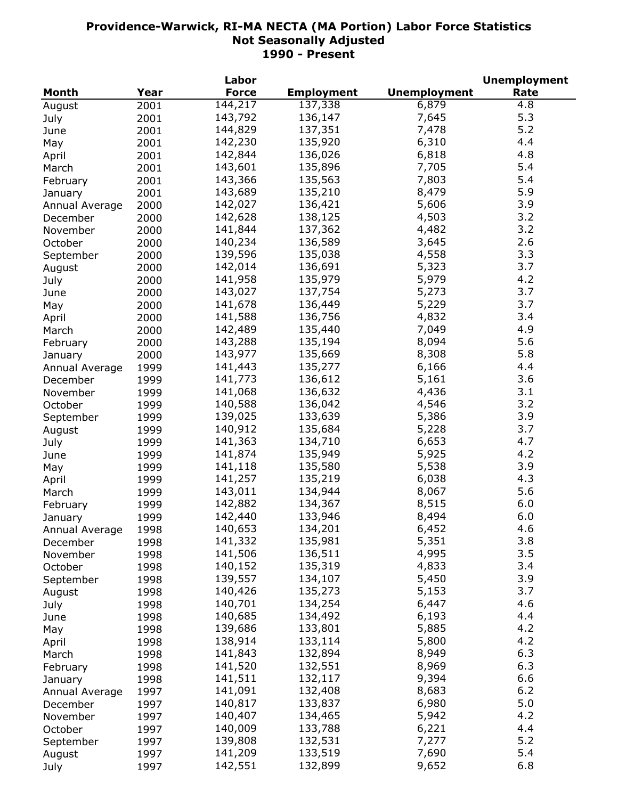|                |      | Labor        |                   |                     | <b>Unemployment</b> |
|----------------|------|--------------|-------------------|---------------------|---------------------|
| <b>Month</b>   | Year | <b>Force</b> | <b>Employment</b> | <b>Unemployment</b> | Rate                |
| August         | 2001 | 144,217      | 137,338           | 6,879               | $\overline{4.8}$    |
| July           | 2001 | 143,792      | 136,147           | 7,645               | 5.3                 |
| June           | 2001 | 144,829      | 137,351           | 7,478               | 5.2                 |
| May            | 2001 | 142,230      | 135,920           | 6,310               | 4.4                 |
| April          | 2001 | 142,844      | 136,026           | 6,818               | 4.8                 |
| March          | 2001 | 143,601      | 135,896           | 7,705               | 5.4                 |
| February       | 2001 | 143,366      | 135,563           | 7,803               | 5.4                 |
| January        | 2001 | 143,689      | 135,210           | 8,479               | 5.9                 |
| Annual Average | 2000 | 142,027      | 136,421           | 5,606               | 3.9                 |
| December       | 2000 | 142,628      | 138,125           | 4,503               | 3.2                 |
| November       | 2000 | 141,844      | 137,362           | 4,482               | 3.2                 |
|                | 2000 | 140,234      | 136,589           | 3,645               | 2.6                 |
| October        |      | 139,596      | 135,038           | 4,558               | 3.3                 |
| September      | 2000 |              |                   |                     | 3.7                 |
| August         | 2000 | 142,014      | 136,691           | 5,323               |                     |
| July           | 2000 | 141,958      | 135,979           | 5,979               | 4.2                 |
| June           | 2000 | 143,027      | 137,754           | 5,273               | 3.7                 |
| May            | 2000 | 141,678      | 136,449           | 5,229               | 3.7                 |
| April          | 2000 | 141,588      | 136,756           | 4,832               | 3.4                 |
| March          | 2000 | 142,489      | 135,440           | 7,049               | 4.9                 |
| February       | 2000 | 143,288      | 135,194           | 8,094               | 5.6                 |
| January        | 2000 | 143,977      | 135,669           | 8,308               | 5.8                 |
| Annual Average | 1999 | 141,443      | 135,277           | 6,166               | 4.4                 |
| December       | 1999 | 141,773      | 136,612           | 5,161               | 3.6                 |
| November       | 1999 | 141,068      | 136,632           | 4,436               | 3.1                 |
| October        | 1999 | 140,588      | 136,042           | 4,546               | 3.2                 |
| September      | 1999 | 139,025      | 133,639           | 5,386               | 3.9                 |
| August         | 1999 | 140,912      | 135,684           | 5,228               | 3.7                 |
| July           | 1999 | 141,363      | 134,710           | 6,653               | 4.7                 |
| June           | 1999 | 141,874      | 135,949           | 5,925               | 4.2                 |
| May            | 1999 | 141,118      | 135,580           | 5,538               | 3.9                 |
| April          | 1999 | 141,257      | 135,219           | 6,038               | 4.3                 |
| March          | 1999 | 143,011      | 134,944           | 8,067               | 5.6                 |
| February       | 1999 | 142,882      | 134,367           | 8,515               | 6.0                 |
| January        | 1999 | 142,440      | 133,946           | 8,494               | 6.0                 |
| Annual Average | 1998 | 140,653      | 134,201           | 6,452               | 4.6                 |
| December       | 1998 | 141,332      | 135,981           | 5,351               | 3.8                 |
| November       | 1998 | 141,506      | 136,511           | 4,995               | 3.5                 |
| October        | 1998 | 140,152      | 135,319           | 4,833               | 3.4                 |
| September      | 1998 | 139,557      | 134,107           | 5,450               | 3.9                 |
| August         | 1998 | 140,426      | 135,273           | 5,153               | 3.7                 |
|                | 1998 | 140,701      | 134,254           | 6,447               | 4.6                 |
| July           |      | 140,685      | 134,492           | 6,193               | 4.4                 |
| June           | 1998 | 139,686      | 133,801           | 5,885               | 4.2                 |
| May            | 1998 | 138,914      |                   |                     | 4.2                 |
| April          | 1998 |              | 133,114           | 5,800               |                     |
| March          | 1998 | 141,843      | 132,894           | 8,949               | 6.3                 |
| February       | 1998 | 141,520      | 132,551           | 8,969               | 6.3                 |
| January        | 1998 | 141,511      | 132,117           | 9,394               | 6.6                 |
| Annual Average | 1997 | 141,091      | 132,408           | 8,683               | 6.2                 |
| December       | 1997 | 140,817      | 133,837           | 6,980               | 5.0                 |
| November       | 1997 | 140,407      | 134,465           | 5,942               | 4.2                 |
| October        | 1997 | 140,009      | 133,788           | 6,221               | 4.4                 |
| September      | 1997 | 139,808      | 132,531           | 7,277               | 5.2                 |
| August         | 1997 | 141,209      | 133,519           | 7,690               | 5.4                 |
| July           | 1997 | 142,551      | 132,899           | 9,652               | 6.8                 |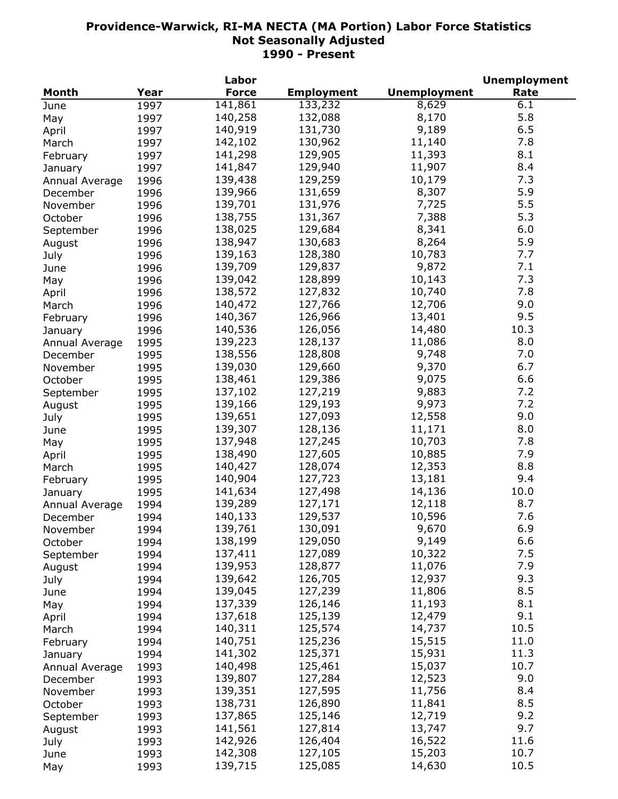|                |      | Labor        |                   |                     | <b>Unemployment</b> |
|----------------|------|--------------|-------------------|---------------------|---------------------|
| <b>Month</b>   | Year | <b>Force</b> | <b>Employment</b> | <b>Unemployment</b> | Rate                |
| June           | 1997 | 141,861      | 133,232           | 8,629               | 6.1                 |
| May            | 1997 | 140,258      | 132,088           | 8,170               | 5.8                 |
| April          | 1997 | 140,919      | 131,730           | 9,189               | 6.5                 |
| March          | 1997 | 142,102      | 130,962           | 11,140              | 7.8                 |
| February       | 1997 | 141,298      | 129,905           | 11,393              | 8.1                 |
| January        | 1997 | 141,847      | 129,940           | 11,907              | 8.4                 |
| Annual Average | 1996 | 139,438      | 129,259           | 10,179              | 7.3                 |
| December       | 1996 | 139,966      | 131,659           | 8,307               | 5.9                 |
| November       | 1996 | 139,701      | 131,976           | 7,725               | 5.5                 |
| October        | 1996 | 138,755      | 131,367           | 7,388               | 5.3                 |
|                | 1996 | 138,025      | 129,684           | 8,341               | 6.0                 |
| September      |      | 138,947      | 130,683           | 8,264               | 5.9                 |
| August         | 1996 |              |                   |                     | 7.7                 |
| July           | 1996 | 139,163      | 128,380           | 10,783              |                     |
| June           | 1996 | 139,709      | 129,837           | 9,872               | 7.1                 |
| May            | 1996 | 139,042      | 128,899           | 10,143              | 7.3                 |
| April          | 1996 | 138,572      | 127,832           | 10,740              | 7.8                 |
| March          | 1996 | 140,472      | 127,766           | 12,706              | 9.0                 |
| February       | 1996 | 140,367      | 126,966           | 13,401              | 9.5                 |
| January        | 1996 | 140,536      | 126,056           | 14,480              | 10.3                |
| Annual Average | 1995 | 139,223      | 128,137           | 11,086              | 8.0                 |
| December       | 1995 | 138,556      | 128,808           | 9,748               | 7.0                 |
| November       | 1995 | 139,030      | 129,660           | 9,370               | 6.7                 |
| October        | 1995 | 138,461      | 129,386           | 9,075               | 6.6                 |
| September      | 1995 | 137,102      | 127,219           | 9,883               | 7.2                 |
| August         | 1995 | 139,166      | 129,193           | 9,973               | 7.2                 |
| July           | 1995 | 139,651      | 127,093           | 12,558              | 9.0                 |
| June           | 1995 | 139,307      | 128,136           | 11,171              | 8.0                 |
| May            | 1995 | 137,948      | 127,245           | 10,703              | 7.8                 |
| April          | 1995 | 138,490      | 127,605           | 10,885              | 7.9                 |
| March          | 1995 | 140,427      | 128,074           | 12,353              | 8.8                 |
| February       | 1995 | 140,904      | 127,723           | 13,181              | 9.4                 |
| January        | 1995 | 141,634      | 127,498           | 14,136              | 10.0                |
| Annual Average | 1994 | 139,289      | 127,171           | 12,118              | 8.7                 |
| December       | 1994 | 140,133      | 129,537           | 10,596              | 7.6                 |
| November       | 1994 | 139,761      | 130,091           | 9,670               | 6.9                 |
| October        | 1994 | 138,199      | 129,050           | 9,149               | 6.6                 |
|                |      | 137,411      | 127,089           | 10,322              | 7.5                 |
| September      | 1994 | 139,953      | 128,877           | 11,076              | 7.9                 |
| August         | 1994 | 139,642      | 126,705           | 12,937              | 9.3                 |
| July           | 1994 | 139,045      | 127,239           | 11,806              | 8.5                 |
| June           | 1994 | 137,339      |                   |                     |                     |
| May            | 1994 |              | 126,146           | 11,193              | 8.1                 |
| April          | 1994 | 137,618      | 125,139           | 12,479              | 9.1                 |
| March          | 1994 | 140,311      | 125,574           | 14,737              | 10.5                |
| February       | 1994 | 140,751      | 125,236           | 15,515              | 11.0                |
| January        | 1994 | 141,302      | 125,371           | 15,931              | 11.3                |
| Annual Average | 1993 | 140,498      | 125,461           | 15,037              | 10.7                |
| December       | 1993 | 139,807      | 127,284           | 12,523              | 9.0                 |
| November       | 1993 | 139,351      | 127,595           | 11,756              | 8.4                 |
| October        | 1993 | 138,731      | 126,890           | 11,841              | 8.5                 |
| September      | 1993 | 137,865      | 125,146           | 12,719              | 9.2                 |
| August         | 1993 | 141,561      | 127,814           | 13,747              | 9.7                 |
| July           | 1993 | 142,926      | 126,404           | 16,522              | 11.6                |
| June           | 1993 | 142,308      | 127,105           | 15,203              | 10.7                |
| May            | 1993 | 139,715      | 125,085           | 14,630              | 10.5                |